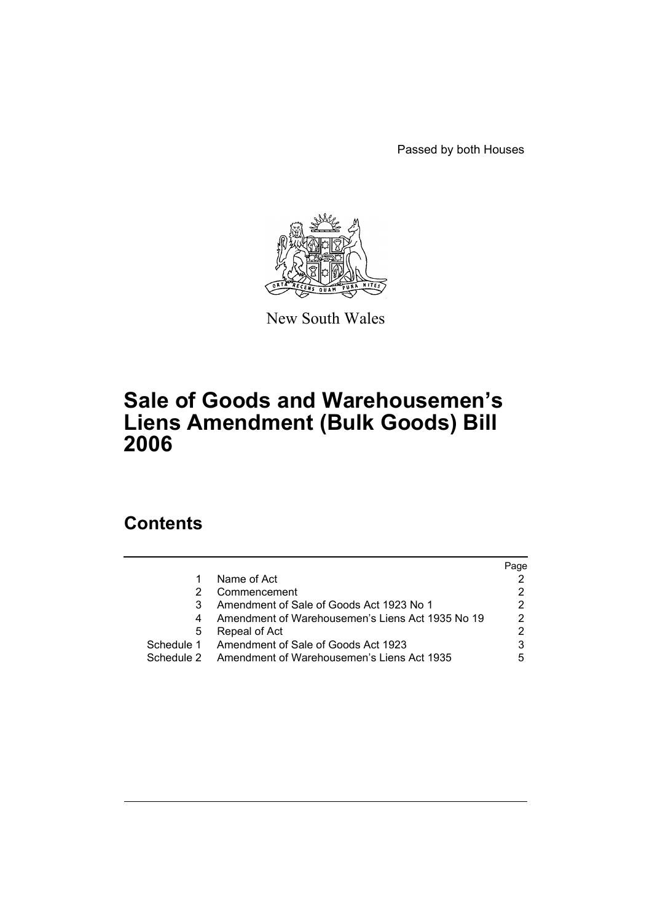Passed by both Houses



New South Wales

# **Sale of Goods and Warehousemen's Liens Amendment (Bulk Goods) Bill 2006**

# **Contents**

|            |                                                  | Page |
|------------|--------------------------------------------------|------|
|            | Name of Act                                      |      |
|            | Commencement                                     |      |
|            | Amendment of Sale of Goods Act 1923 No 1         |      |
|            | Amendment of Warehousemen's Liens Act 1935 No 19 | 2    |
| 5          | Repeal of Act                                    |      |
| Schedule 1 | Amendment of Sale of Goods Act 1923              |      |
| Schedule 2 | Amendment of Warehousemen's Liens Act 1935       | 5    |
|            |                                                  |      |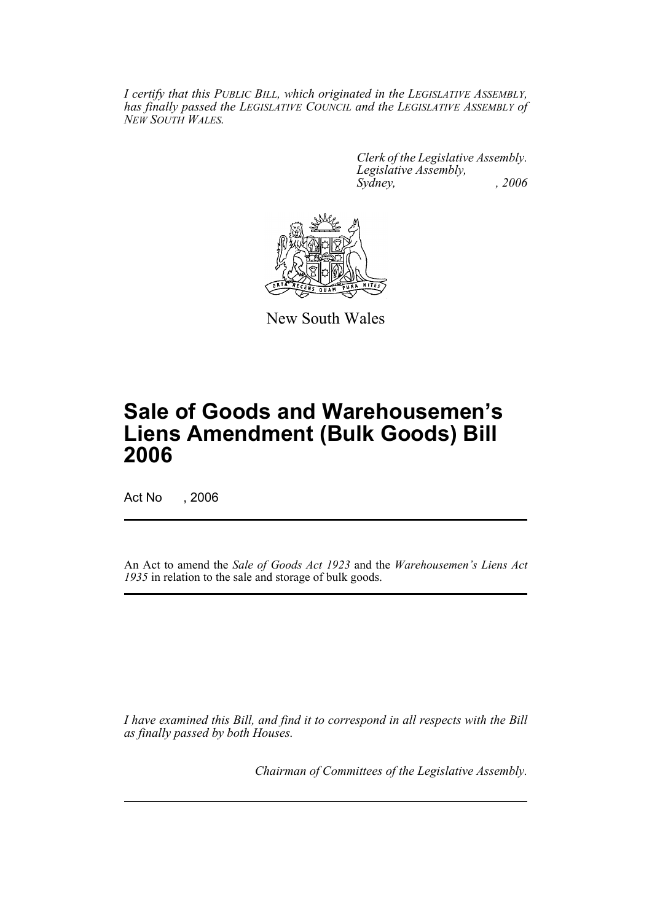*I certify that this PUBLIC BILL, which originated in the LEGISLATIVE ASSEMBLY, has finally passed the LEGISLATIVE COUNCIL and the LEGISLATIVE ASSEMBLY of NEW SOUTH WALES.*

> *Clerk of the Legislative Assembly. Legislative Assembly, Sydney, , 2006*



New South Wales

# **Sale of Goods and Warehousemen's Liens Amendment (Bulk Goods) Bill 2006**

Act No , 2006

An Act to amend the *Sale of Goods Act 1923* and the *Warehousemen's Liens Act 1935* in relation to the sale and storage of bulk goods.

*I have examined this Bill, and find it to correspond in all respects with the Bill as finally passed by both Houses.*

*Chairman of Committees of the Legislative Assembly.*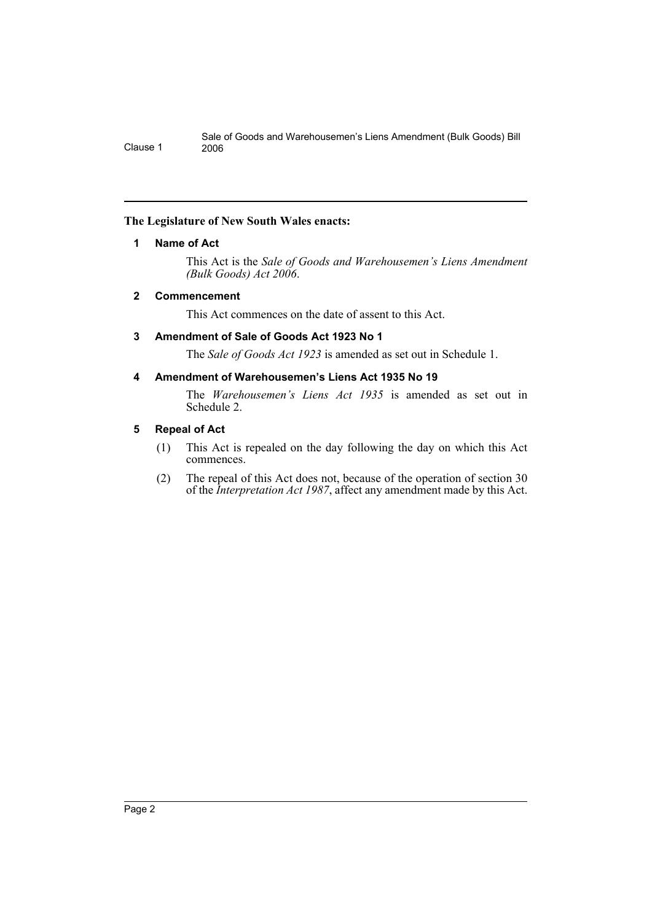#### **The Legislature of New South Wales enacts:**

## **1 Name of Act**

This Act is the *Sale of Goods and Warehousemen's Liens Amendment (Bulk Goods) Act 2006*.

## **2 Commencement**

This Act commences on the date of assent to this Act.

## **3 Amendment of Sale of Goods Act 1923 No 1**

The *Sale of Goods Act 1923* is amended as set out in Schedule 1.

## **4 Amendment of Warehousemen's Liens Act 1935 No 19**

The *Warehousemen's Liens Act 1935* is amended as set out in Schedule 2.

## **5 Repeal of Act**

- (1) This Act is repealed on the day following the day on which this Act commences.
- (2) The repeal of this Act does not, because of the operation of section 30 of the *Interpretation Act 1987*, affect any amendment made by this Act.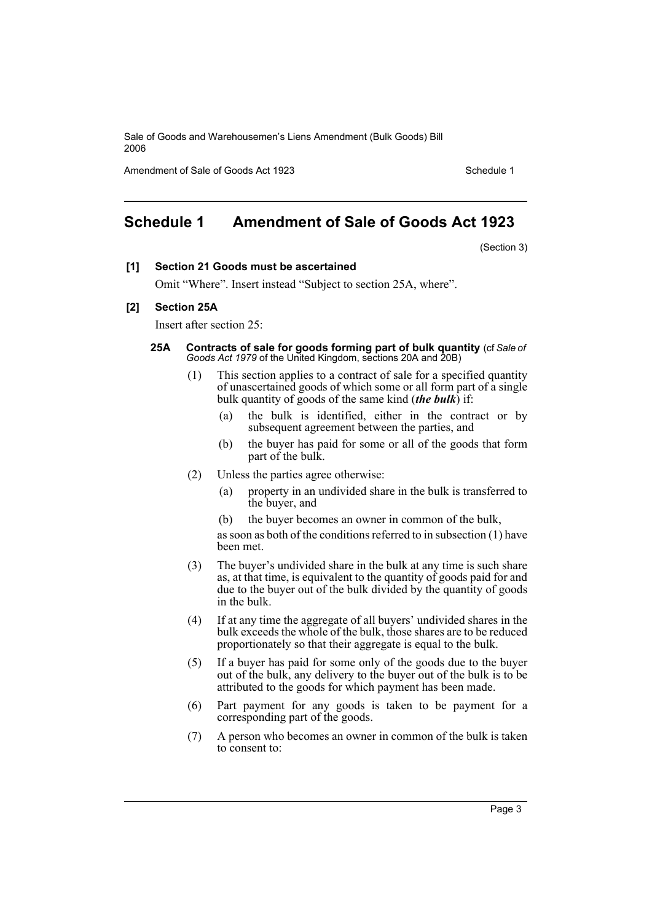Amendment of Sale of Goods Act 1923 Schedule 1

# **Schedule 1 Amendment of Sale of Goods Act 1923**

(Section 3)

#### **[1] Section 21 Goods must be ascertained**

Omit "Where". Insert instead "Subject to section 25A, where".

#### **[2] Section 25A**

Insert after section 25:

- **25A Contracts of sale for goods forming part of bulk quantity** (cf *Sale of Goods Act 1979* of the United Kingdom, sections 20A and 20B)
	- (1) This section applies to a contract of sale for a specified quantity of unascertained goods of which some or all form part of a single bulk quantity of goods of the same kind (*the bulk*) if:
		- (a) the bulk is identified, either in the contract or by subsequent agreement between the parties, and
		- (b) the buyer has paid for some or all of the goods that form part of the bulk.
	- (2) Unless the parties agree otherwise:
		- (a) property in an undivided share in the bulk is transferred to the buyer, and
		- (b) the buyer becomes an owner in common of the bulk,

as soon as both of the conditions referred to in subsection (1) have been met.

- (3) The buyer's undivided share in the bulk at any time is such share as, at that time, is equivalent to the quantity of goods paid for and due to the buyer out of the bulk divided by the quantity of goods in the bulk.
- (4) If at any time the aggregate of all buyers' undivided shares in the bulk exceeds the whole of the bulk, those shares are to be reduced proportionately so that their aggregate is equal to the bulk.
- (5) If a buyer has paid for some only of the goods due to the buyer out of the bulk, any delivery to the buyer out of the bulk is to be attributed to the goods for which payment has been made.
- (6) Part payment for any goods is taken to be payment for a corresponding part of the goods.
- (7) A person who becomes an owner in common of the bulk is taken to consent to: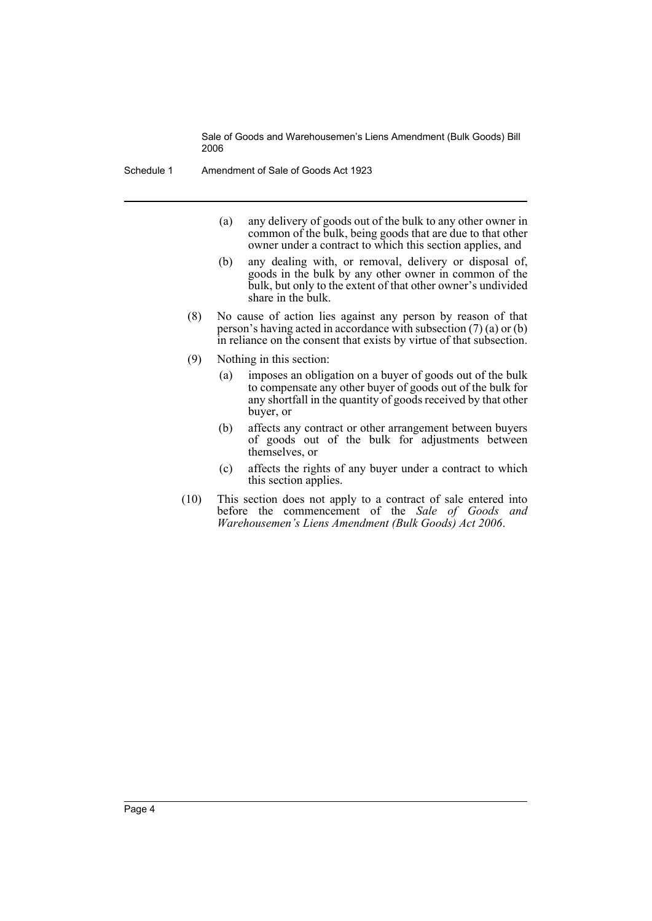Schedule 1 Amendment of Sale of Goods Act 1923

- (a) any delivery of goods out of the bulk to any other owner in common of the bulk, being goods that are due to that other owner under a contract to which this section applies, and
- (b) any dealing with, or removal, delivery or disposal of, goods in the bulk by any other owner in common of the bulk, but only to the extent of that other owner's undivided share in the bulk.
- (8) No cause of action lies against any person by reason of that person's having acted in accordance with subsection (7) (a) or (b) in reliance on the consent that exists by virtue of that subsection.
- (9) Nothing in this section:
	- (a) imposes an obligation on a buyer of goods out of the bulk to compensate any other buyer of goods out of the bulk for any shortfall in the quantity of goods received by that other buyer, or
	- (b) affects any contract or other arrangement between buyers of goods out of the bulk for adjustments between themselves, or
	- (c) affects the rights of any buyer under a contract to which this section applies.
- (10) This section does not apply to a contract of sale entered into before the commencement of the *Sale of Goods and Warehousemen's Liens Amendment (Bulk Goods) Act 2006*.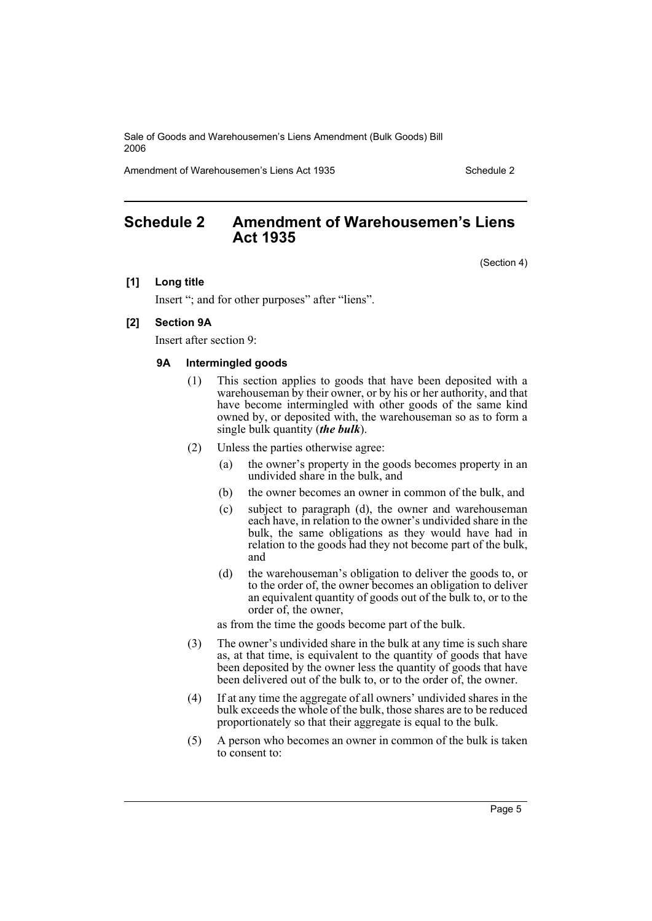Amendment of Warehousemen's Liens Act 1935 **Schedule 2** Schedule 2

# **Schedule 2 Amendment of Warehousemen's Liens Act 1935**

(Section 4)

#### **[1] Long title**

Insert "; and for other purposes" after "liens".

#### **[2] Section 9A**

Insert after section 9:

#### **9A Intermingled goods**

- (1) This section applies to goods that have been deposited with a warehouseman by their owner, or by his or her authority, and that have become intermingled with other goods of the same kind owned by, or deposited with, the warehouseman so as to form a single bulk quantity (*the bulk*).
- (2) Unless the parties otherwise agree:
	- (a) the owner's property in the goods becomes property in an undivided share in the bulk, and
	- (b) the owner becomes an owner in common of the bulk, and
	- (c) subject to paragraph (d), the owner and warehouseman each have, in relation to the owner's undivided share in the bulk, the same obligations as they would have had in relation to the goods had they not become part of the bulk, and
	- (d) the warehouseman's obligation to deliver the goods to, or to the order of, the owner becomes an obligation to deliver an equivalent quantity of goods out of the bulk to, or to the order of, the owner,

as from the time the goods become part of the bulk.

- (3) The owner's undivided share in the bulk at any time is such share as, at that time, is equivalent to the quantity of goods that have been deposited by the owner less the quantity of goods that have been delivered out of the bulk to, or to the order of, the owner.
- (4) If at any time the aggregate of all owners' undivided shares in the bulk exceeds the whole of the bulk, those shares are to be reduced proportionately so that their aggregate is equal to the bulk.
- (5) A person who becomes an owner in common of the bulk is taken to consent to: